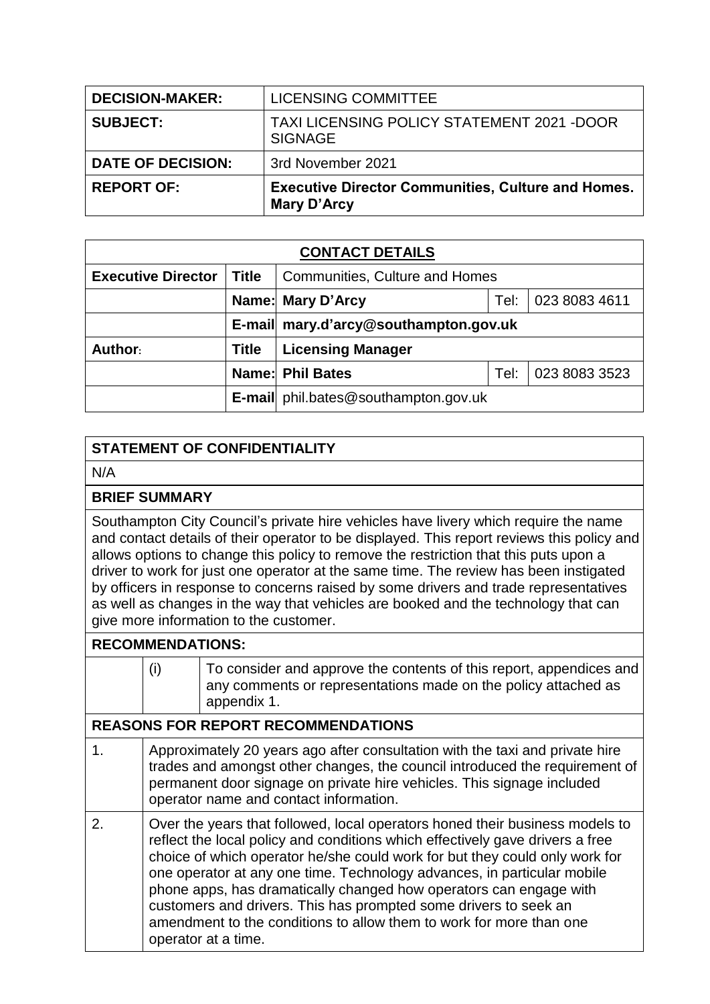| <b>DECISION-MAKER:</b>   | LICENSING COMMITTEE                                                      |
|--------------------------|--------------------------------------------------------------------------|
| <b>SUBJECT:</b>          | TAXI LICENSING POLICY STATEMENT 2021 - DOOR<br><b>SIGNAGE</b>            |
| <b>DATE OF DECISION:</b> | 3rd November 2021                                                        |
| <b>REPORT OF:</b>        | <b>Executive Director Communities, Culture and Homes.</b><br>Mary D'Arcy |

| <b>CONTACT DETAILS</b>    |              |                                                  |  |  |  |
|---------------------------|--------------|--------------------------------------------------|--|--|--|
| <b>Executive Director</b> | <b>Title</b> | <b>Communities, Culture and Homes</b>            |  |  |  |
|                           |              | 023 8083 4611<br>Name: Mary D'Arcy<br>Tel:       |  |  |  |
|                           |              | E-mail mary.d'arcy@southampton.gov.uk            |  |  |  |
| Author:                   | <b>Title</b> | <b>Licensing Manager</b>                         |  |  |  |
|                           |              | 023 8083 3523<br><b>Name: Phil Bates</b><br>Tel: |  |  |  |
|                           |              | <b>E-mail</b> phil.bates@southampton.gov.uk      |  |  |  |

## **STATEMENT OF CONFIDENTIALITY**

N/A

## **BRIEF SUMMARY**

Southampton City Council's private hire vehicles have livery which require the name and contact details of their operator to be displayed. This report reviews this policy and allows options to change this policy to remove the restriction that this puts upon a driver to work for just one operator at the same time. The review has been instigated by officers in response to concerns raised by some drivers and trade representatives as well as changes in the way that vehicles are booked and the technology that can give more information to the customer.

## **RECOMMENDATIONS:**

|    | (i)                                                                                                                                                                                                                                                                                                                                                                                                                                                                                                                                                             | To consider and approve the contents of this report, appendices and<br>any comments or representations made on the policy attached as<br>appendix 1.                                                                                                                            |  |  |
|----|-----------------------------------------------------------------------------------------------------------------------------------------------------------------------------------------------------------------------------------------------------------------------------------------------------------------------------------------------------------------------------------------------------------------------------------------------------------------------------------------------------------------------------------------------------------------|---------------------------------------------------------------------------------------------------------------------------------------------------------------------------------------------------------------------------------------------------------------------------------|--|--|
|    |                                                                                                                                                                                                                                                                                                                                                                                                                                                                                                                                                                 | <b>REASONS FOR REPORT RECOMMENDATIONS</b>                                                                                                                                                                                                                                       |  |  |
| 1. |                                                                                                                                                                                                                                                                                                                                                                                                                                                                                                                                                                 | Approximately 20 years ago after consultation with the taxi and private hire<br>trades and amongst other changes, the council introduced the requirement of<br>permanent door signage on private hire vehicles. This signage included<br>operator name and contact information. |  |  |
| 2. | Over the years that followed, local operators honed their business models to<br>reflect the local policy and conditions which effectively gave drivers a free<br>choice of which operator he/she could work for but they could only work for<br>one operator at any one time. Technology advances, in particular mobile<br>phone apps, has dramatically changed how operators can engage with<br>customers and drivers. This has prompted some drivers to seek an<br>amendment to the conditions to allow them to work for more than one<br>operator at a time. |                                                                                                                                                                                                                                                                                 |  |  |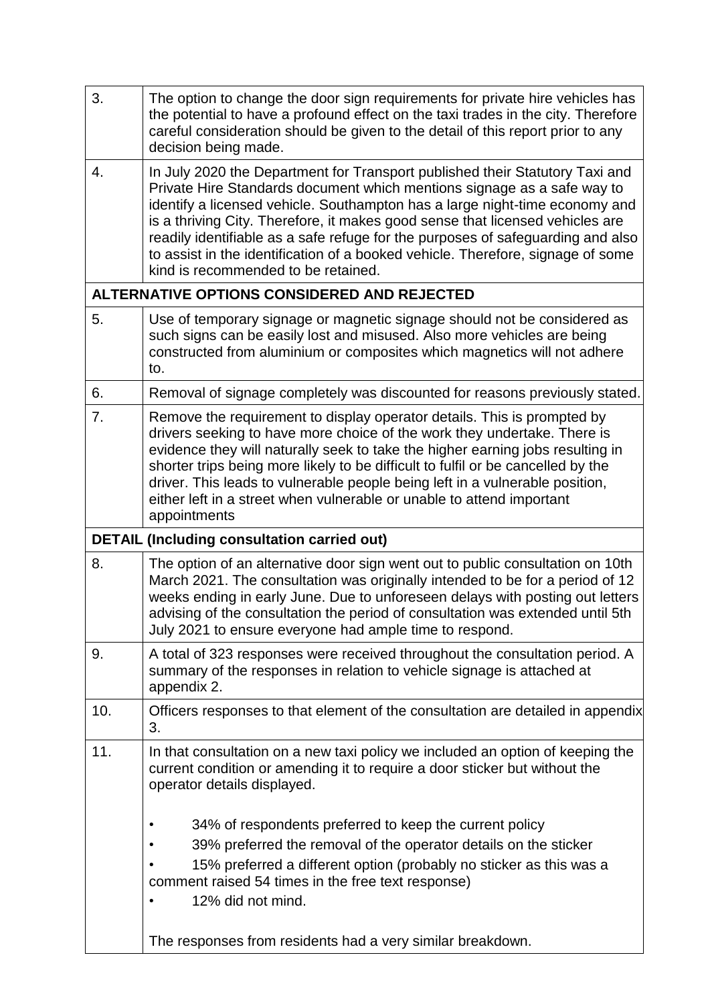| 3.  | The option to change the door sign requirements for private hire vehicles has<br>the potential to have a profound effect on the taxi trades in the city. Therefore<br>careful consideration should be given to the detail of this report prior to any<br>decision being made.                                                                                                                                                                                                                                                        |
|-----|--------------------------------------------------------------------------------------------------------------------------------------------------------------------------------------------------------------------------------------------------------------------------------------------------------------------------------------------------------------------------------------------------------------------------------------------------------------------------------------------------------------------------------------|
| 4.  | In July 2020 the Department for Transport published their Statutory Taxi and<br>Private Hire Standards document which mentions signage as a safe way to<br>identify a licensed vehicle. Southampton has a large night-time economy and<br>is a thriving City. Therefore, it makes good sense that licensed vehicles are<br>readily identifiable as a safe refuge for the purposes of safeguarding and also<br>to assist in the identification of a booked vehicle. Therefore, signage of some<br>kind is recommended to be retained. |
|     | ALTERNATIVE OPTIONS CONSIDERED AND REJECTED                                                                                                                                                                                                                                                                                                                                                                                                                                                                                          |
| 5.  | Use of temporary signage or magnetic signage should not be considered as<br>such signs can be easily lost and misused. Also more vehicles are being<br>constructed from aluminium or composites which magnetics will not adhere<br>to.                                                                                                                                                                                                                                                                                               |
| 6.  | Removal of signage completely was discounted for reasons previously stated.                                                                                                                                                                                                                                                                                                                                                                                                                                                          |
| 7.  | Remove the requirement to display operator details. This is prompted by<br>drivers seeking to have more choice of the work they undertake. There is<br>evidence they will naturally seek to take the higher earning jobs resulting in<br>shorter trips being more likely to be difficult to fulfil or be cancelled by the<br>driver. This leads to vulnerable people being left in a vulnerable position,<br>either left in a street when vulnerable or unable to attend important<br>appointments                                   |
|     | <b>DETAIL (Including consultation carried out)</b>                                                                                                                                                                                                                                                                                                                                                                                                                                                                                   |
| 8.  | The option of an alternative door sign went out to public consultation on 10th<br>March 2021. The consultation was originally intended to be for a period of 12<br>weeks ending in early June. Due to unforeseen delays with posting out letters<br>advising of the consultation the period of consultation was extended until 5th<br>July 2021 to ensure everyone had ample time to respond.                                                                                                                                        |
| 9.  | A total of 323 responses were received throughout the consultation period. A<br>summary of the responses in relation to vehicle signage is attached at<br>appendix 2.                                                                                                                                                                                                                                                                                                                                                                |
| 10. | Officers responses to that element of the consultation are detailed in appendix<br>3.                                                                                                                                                                                                                                                                                                                                                                                                                                                |
| 11. |                                                                                                                                                                                                                                                                                                                                                                                                                                                                                                                                      |
|     | In that consultation on a new taxi policy we included an option of keeping the<br>current condition or amending it to require a door sticker but without the<br>operator details displayed.                                                                                                                                                                                                                                                                                                                                          |
|     | 34% of respondents preferred to keep the current policy                                                                                                                                                                                                                                                                                                                                                                                                                                                                              |
|     | 39% preferred the removal of the operator details on the sticker                                                                                                                                                                                                                                                                                                                                                                                                                                                                     |
|     | 15% preferred a different option (probably no sticker as this was a<br>comment raised 54 times in the free text response)                                                                                                                                                                                                                                                                                                                                                                                                            |
|     | 12% did not mind.                                                                                                                                                                                                                                                                                                                                                                                                                                                                                                                    |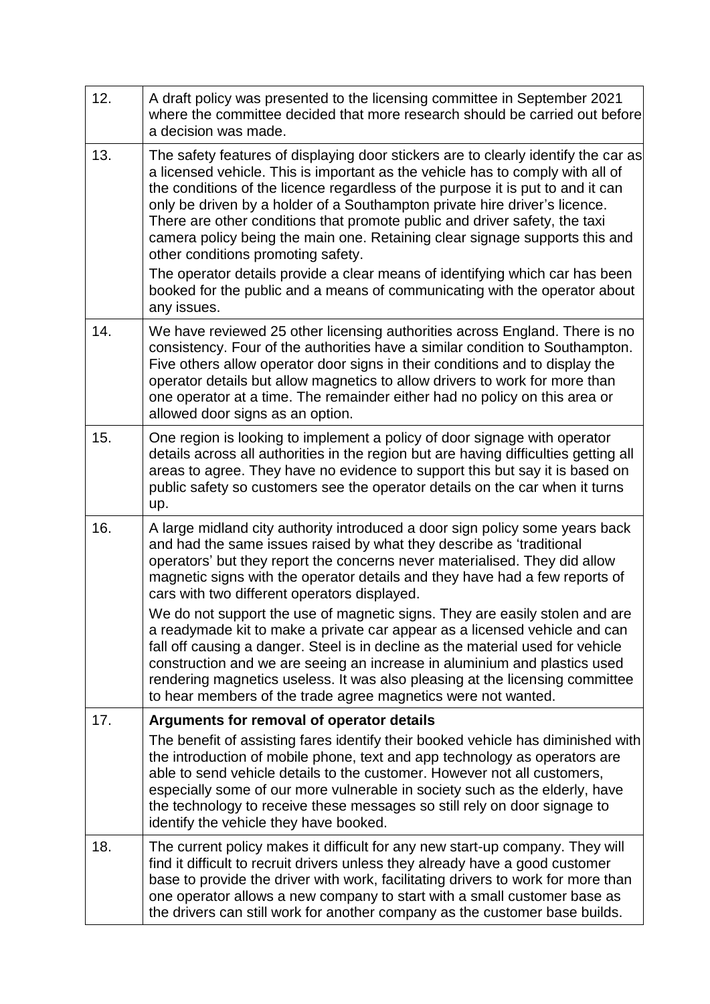| 12. | A draft policy was presented to the licensing committee in September 2021<br>where the committee decided that more research should be carried out before<br>a decision was made.                                                                                                                                                                                                                                                                                                                                                         |
|-----|------------------------------------------------------------------------------------------------------------------------------------------------------------------------------------------------------------------------------------------------------------------------------------------------------------------------------------------------------------------------------------------------------------------------------------------------------------------------------------------------------------------------------------------|
| 13. | The safety features of displaying door stickers are to clearly identify the car as<br>a licensed vehicle. This is important as the vehicle has to comply with all of<br>the conditions of the licence regardless of the purpose it is put to and it can<br>only be driven by a holder of a Southampton private hire driver's licence.<br>There are other conditions that promote public and driver safety, the taxi<br>camera policy being the main one. Retaining clear signage supports this and<br>other conditions promoting safety. |
|     | The operator details provide a clear means of identifying which car has been<br>booked for the public and a means of communicating with the operator about<br>any issues.                                                                                                                                                                                                                                                                                                                                                                |
| 14. | We have reviewed 25 other licensing authorities across England. There is no<br>consistency. Four of the authorities have a similar condition to Southampton.<br>Five others allow operator door signs in their conditions and to display the<br>operator details but allow magnetics to allow drivers to work for more than<br>one operator at a time. The remainder either had no policy on this area or<br>allowed door signs as an option.                                                                                            |
| 15. | One region is looking to implement a policy of door signage with operator<br>details across all authorities in the region but are having difficulties getting all<br>areas to agree. They have no evidence to support this but say it is based on<br>public safety so customers see the operator details on the car when it turns<br>up.                                                                                                                                                                                                 |
| 16. | A large midland city authority introduced a door sign policy some years back<br>and had the same issues raised by what they describe as 'traditional<br>operators' but they report the concerns never materialised. They did allow<br>magnetic signs with the operator details and they have had a few reports of<br>cars with two different operators displayed.                                                                                                                                                                        |
|     | We do not support the use of magnetic signs. They are easily stolen and are<br>a readymade kit to make a private car appear as a licensed vehicle and can<br>fall off causing a danger. Steel is in decline as the material used for vehicle<br>construction and we are seeing an increase in aluminium and plastics used<br>rendering magnetics useless. It was also pleasing at the licensing committee<br>to hear members of the trade agree magnetics were not wanted.                                                               |
| 17. | Arguments for removal of operator details                                                                                                                                                                                                                                                                                                                                                                                                                                                                                                |
|     | The benefit of assisting fares identify their booked vehicle has diminished with<br>the introduction of mobile phone, text and app technology as operators are<br>able to send vehicle details to the customer. However not all customers,<br>especially some of our more vulnerable in society such as the elderly, have<br>the technology to receive these messages so still rely on door signage to<br>identify the vehicle they have booked.                                                                                         |
| 18. | The current policy makes it difficult for any new start-up company. They will<br>find it difficult to recruit drivers unless they already have a good customer<br>base to provide the driver with work, facilitating drivers to work for more than<br>one operator allows a new company to start with a small customer base as<br>the drivers can still work for another company as the customer base builds.                                                                                                                            |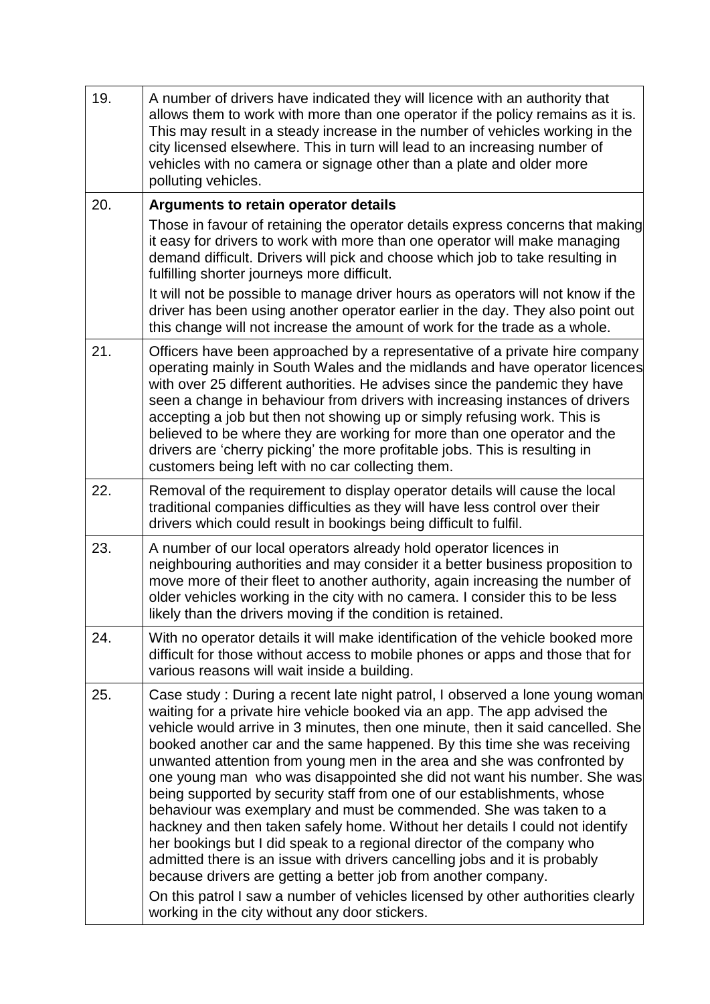| 19. | A number of drivers have indicated they will licence with an authority that<br>allows them to work with more than one operator if the policy remains as it is.<br>This may result in a steady increase in the number of vehicles working in the<br>city licensed elsewhere. This in turn will lead to an increasing number of<br>vehicles with no camera or signage other than a plate and older more<br>polluting vehicles.                                                                                                                                                                                                                                                                                                                                                                                                                                                                                                                                                                                                                                                  |
|-----|-------------------------------------------------------------------------------------------------------------------------------------------------------------------------------------------------------------------------------------------------------------------------------------------------------------------------------------------------------------------------------------------------------------------------------------------------------------------------------------------------------------------------------------------------------------------------------------------------------------------------------------------------------------------------------------------------------------------------------------------------------------------------------------------------------------------------------------------------------------------------------------------------------------------------------------------------------------------------------------------------------------------------------------------------------------------------------|
| 20. | Arguments to retain operator details                                                                                                                                                                                                                                                                                                                                                                                                                                                                                                                                                                                                                                                                                                                                                                                                                                                                                                                                                                                                                                          |
|     | Those in favour of retaining the operator details express concerns that making<br>it easy for drivers to work with more than one operator will make managing<br>demand difficult. Drivers will pick and choose which job to take resulting in<br>fulfilling shorter journeys more difficult.                                                                                                                                                                                                                                                                                                                                                                                                                                                                                                                                                                                                                                                                                                                                                                                  |
|     | It will not be possible to manage driver hours as operators will not know if the<br>driver has been using another operator earlier in the day. They also point out<br>this change will not increase the amount of work for the trade as a whole.                                                                                                                                                                                                                                                                                                                                                                                                                                                                                                                                                                                                                                                                                                                                                                                                                              |
| 21. | Officers have been approached by a representative of a private hire company<br>operating mainly in South Wales and the midlands and have operator licences<br>with over 25 different authorities. He advises since the pandemic they have<br>seen a change in behaviour from drivers with increasing instances of drivers<br>accepting a job but then not showing up or simply refusing work. This is<br>believed to be where they are working for more than one operator and the<br>drivers are 'cherry picking' the more profitable jobs. This is resulting in<br>customers being left with no car collecting them.                                                                                                                                                                                                                                                                                                                                                                                                                                                         |
| 22. | Removal of the requirement to display operator details will cause the local<br>traditional companies difficulties as they will have less control over their<br>drivers which could result in bookings being difficult to fulfil.                                                                                                                                                                                                                                                                                                                                                                                                                                                                                                                                                                                                                                                                                                                                                                                                                                              |
| 23. | A number of our local operators already hold operator licences in<br>neighbouring authorities and may consider it a better business proposition to<br>move more of their fleet to another authority, again increasing the number of<br>older vehicles working in the city with no camera. I consider this to be less<br>likely than the drivers moving if the condition is retained.                                                                                                                                                                                                                                                                                                                                                                                                                                                                                                                                                                                                                                                                                          |
| 24. | With no operator details it will make identification of the vehicle booked more<br>difficult for those without access to mobile phones or apps and those that for<br>various reasons will wait inside a building.                                                                                                                                                                                                                                                                                                                                                                                                                                                                                                                                                                                                                                                                                                                                                                                                                                                             |
| 25. | Case study: During a recent late night patrol, I observed a lone young woman<br>waiting for a private hire vehicle booked via an app. The app advised the<br>vehicle would arrive in 3 minutes, then one minute, then it said cancelled. She<br>booked another car and the same happened. By this time she was receiving<br>unwanted attention from young men in the area and she was confronted by<br>one young man who was disappointed she did not want his number. She was<br>being supported by security staff from one of our establishments, whose<br>behaviour was exemplary and must be commended. She was taken to a<br>hackney and then taken safely home. Without her details I could not identify<br>her bookings but I did speak to a regional director of the company who<br>admitted there is an issue with drivers cancelling jobs and it is probably<br>because drivers are getting a better job from another company.<br>On this patrol I saw a number of vehicles licensed by other authorities clearly<br>working in the city without any door stickers. |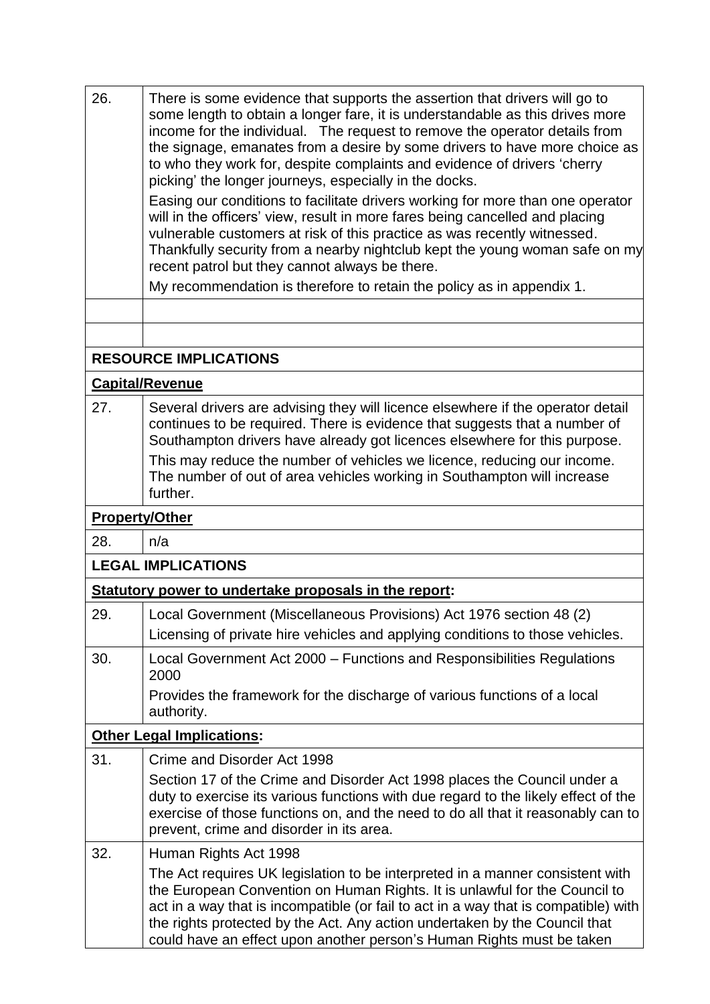| 26. | There is some evidence that supports the assertion that drivers will go to<br>some length to obtain a longer fare, it is understandable as this drives more<br>income for the individual. The request to remove the operator details from<br>the signage, emanates from a desire by some drivers to have more choice as<br>to who they work for, despite complaints and evidence of drivers 'cherry<br>picking' the longer journeys, especially in the docks. |  |  |  |  |
|-----|---------------------------------------------------------------------------------------------------------------------------------------------------------------------------------------------------------------------------------------------------------------------------------------------------------------------------------------------------------------------------------------------------------------------------------------------------------------|--|--|--|--|
|     | Easing our conditions to facilitate drivers working for more than one operator<br>will in the officers' view, result in more fares being cancelled and placing<br>vulnerable customers at risk of this practice as was recently witnessed.<br>Thankfully security from a nearby nightclub kept the young woman safe on my<br>recent patrol but they cannot always be there.                                                                                   |  |  |  |  |
|     | My recommendation is therefore to retain the policy as in appendix 1.                                                                                                                                                                                                                                                                                                                                                                                         |  |  |  |  |
|     |                                                                                                                                                                                                                                                                                                                                                                                                                                                               |  |  |  |  |
|     |                                                                                                                                                                                                                                                                                                                                                                                                                                                               |  |  |  |  |
|     | <b>RESOURCE IMPLICATIONS</b>                                                                                                                                                                                                                                                                                                                                                                                                                                  |  |  |  |  |
|     | <b>Capital/Revenue</b>                                                                                                                                                                                                                                                                                                                                                                                                                                        |  |  |  |  |
| 27. | Several drivers are advising they will licence elsewhere if the operator detail<br>continues to be required. There is evidence that suggests that a number of<br>Southampton drivers have already got licences elsewhere for this purpose.                                                                                                                                                                                                                    |  |  |  |  |
|     | This may reduce the number of vehicles we licence, reducing our income.<br>The number of out of area vehicles working in Southampton will increase<br>further.                                                                                                                                                                                                                                                                                                |  |  |  |  |
|     | <b>Property/Other</b>                                                                                                                                                                                                                                                                                                                                                                                                                                         |  |  |  |  |
| 28. | n/a                                                                                                                                                                                                                                                                                                                                                                                                                                                           |  |  |  |  |
|     | <b>LEGAL IMPLICATIONS</b>                                                                                                                                                                                                                                                                                                                                                                                                                                     |  |  |  |  |
|     | Statutory power to undertake proposals in the report:                                                                                                                                                                                                                                                                                                                                                                                                         |  |  |  |  |
| 29. | Local Government (Miscellaneous Provisions) Act 1976 section 48 (2)<br>Licensing of private hire vehicles and applying conditions to those vehicles.                                                                                                                                                                                                                                                                                                          |  |  |  |  |
| 30. | Local Government Act 2000 – Functions and Responsibilities Regulations<br>2000                                                                                                                                                                                                                                                                                                                                                                                |  |  |  |  |
|     | Provides the framework for the discharge of various functions of a local<br>authority.                                                                                                                                                                                                                                                                                                                                                                        |  |  |  |  |
|     | <b>Other Legal Implications:</b>                                                                                                                                                                                                                                                                                                                                                                                                                              |  |  |  |  |
| 31. | Crime and Disorder Act 1998                                                                                                                                                                                                                                                                                                                                                                                                                                   |  |  |  |  |
|     | Section 17 of the Crime and Disorder Act 1998 places the Council under a<br>duty to exercise its various functions with due regard to the likely effect of the<br>exercise of those functions on, and the need to do all that it reasonably can to<br>prevent, crime and disorder in its area.                                                                                                                                                                |  |  |  |  |
| 32. | Human Rights Act 1998                                                                                                                                                                                                                                                                                                                                                                                                                                         |  |  |  |  |
|     | The Act requires UK legislation to be interpreted in a manner consistent with<br>the European Convention on Human Rights. It is unlawful for the Council to<br>act in a way that is incompatible (or fail to act in a way that is compatible) with<br>the rights protected by the Act. Any action undertaken by the Council that<br>could have an effect upon another person's Human Rights must be taken                                                     |  |  |  |  |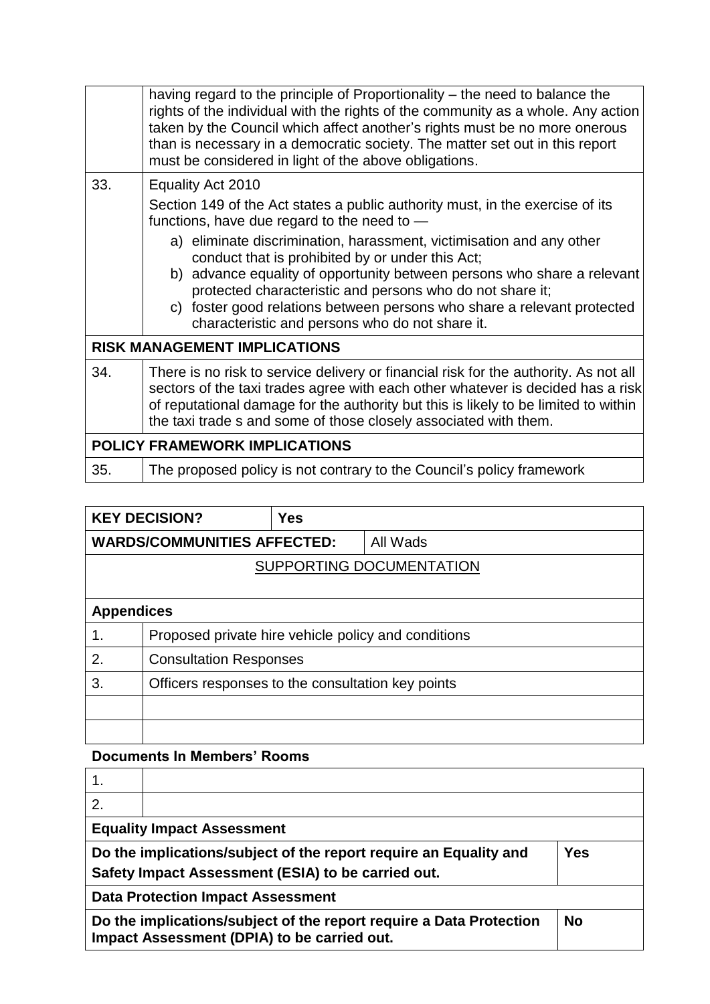|     | having regard to the principle of Proportionality – the need to balance the<br>rights of the individual with the rights of the community as a whole. Any action<br>taken by the Council which affect another's rights must be no more onerous<br>than is necessary in a democratic society. The matter set out in this report<br>must be considered in light of the above obligations.                                                                                                                                                                |  |  |  |  |
|-----|-------------------------------------------------------------------------------------------------------------------------------------------------------------------------------------------------------------------------------------------------------------------------------------------------------------------------------------------------------------------------------------------------------------------------------------------------------------------------------------------------------------------------------------------------------|--|--|--|--|
| 33. | Equality Act 2010<br>Section 149 of the Act states a public authority must, in the exercise of its<br>functions, have due regard to the need to $-$<br>a) eliminate discrimination, harassment, victimisation and any other<br>conduct that is prohibited by or under this Act;<br>b) advance equality of opportunity between persons who share a relevant<br>protected characteristic and persons who do not share it;<br>c) foster good relations between persons who share a relevant protected<br>characteristic and persons who do not share it. |  |  |  |  |
|     | <b>RISK MANAGEMENT IMPLICATIONS</b>                                                                                                                                                                                                                                                                                                                                                                                                                                                                                                                   |  |  |  |  |
| 34. | There is no risk to service delivery or financial risk for the authority. As not all<br>sectors of the taxi trades agree with each other whatever is decided has a risk<br>of reputational damage for the authority but this is likely to be limited to within<br>the taxi trade s and some of those closely associated with them.                                                                                                                                                                                                                    |  |  |  |  |
|     | <b>POLICY FRAMEWORK IMPLICATIONS</b>                                                                                                                                                                                                                                                                                                                                                                                                                                                                                                                  |  |  |  |  |
| 35. | The proposed policy is not contrary to the Council's policy framework                                                                                                                                                                                                                                                                                                                                                                                                                                                                                 |  |  |  |  |

|                   | <b>KEY DECISION?</b>                                | <b>Yes</b> |          |  |  |
|-------------------|-----------------------------------------------------|------------|----------|--|--|
|                   | <b>WARDS/COMMUNITIES AFFECTED:</b>                  |            | All Wads |  |  |
|                   | SUPPORTING DOCUMENTATION                            |            |          |  |  |
|                   |                                                     |            |          |  |  |
| <b>Appendices</b> |                                                     |            |          |  |  |
|                   | Proposed private hire vehicle policy and conditions |            |          |  |  |
| 2.                | <b>Consultation Responses</b>                       |            |          |  |  |
| 3.                | Officers responses to the consultation key points   |            |          |  |  |
|                   |                                                     |            |          |  |  |
|                   |                                                     |            |          |  |  |

## **Documents In Members' Rooms**

| 2.                                                                                                                                    |                                                                                                                                 |  |  |
|---------------------------------------------------------------------------------------------------------------------------------------|---------------------------------------------------------------------------------------------------------------------------------|--|--|
| <b>Equality Impact Assessment</b>                                                                                                     |                                                                                                                                 |  |  |
| Do the implications/subject of the report require an Equality and<br><b>Yes</b><br>Safety Impact Assessment (ESIA) to be carried out. |                                                                                                                                 |  |  |
| <b>Data Protection Impact Assessment</b>                                                                                              |                                                                                                                                 |  |  |
|                                                                                                                                       | <b>No</b><br>Do the implications/subject of the report require a Data Protection<br>Impact Assessment (DPIA) to be carried out. |  |  |